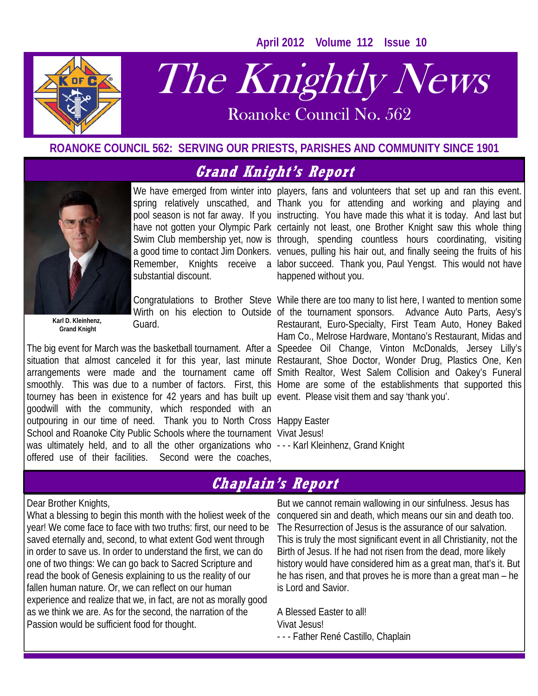**April 2012 Volume 112 Issue 10** 



# The Knightly News

Roanoke Council No. 562 Roanoke Council No. 562

## **ROANOKE COUNCIL 562: SERVING OUR PRIESTS, PARISHES AND COMMUNITY SINCE 1901**

# **Grand Knight's Report**



 **Grand Knight** 

substantial discount.

Guard.

arrangements were made and the tournament came off Smith Realtor, West Salem Collision and Oakey's Funeral smoothly. This was due to a number of factors. First, this Home are some of the establishments that supported this tourney has been in existence for 42 years and has built up event. Please visit them and say 'thank you'. goodwill with the community, which responded with an outpouring in our time of need. Thank you to North Cross Happy Easter School and Roanoke City Public Schools where the tournament Vivat Jesus! was ultimately held, and to all the other organizations who --- Karl Kleinhenz, Grand Knight offered use of their facilities. Second were the coaches,

We have emerged from winter into players, fans and volunteers that set up and ran this event. spring relatively unscathed, and Thank you for attending and working and playing and pool season is not far away. If you instructing. You have made this what it is today. And last but have not gotten your Olympic Park certainly not least, one Brother Knight saw this whole thing Swim Club membership yet, now is through, spending countless hours coordinating, visiting a good time to contact Jim Donkers. venues, pulling his hair out, and finally seeing the fruits of his Remember, Knights receive a labor succeed. Thank you, Paul Yengst. This would not have happened without you.

Congratulations to Brother Steve While there are too many to list here, I wanted to mention some Wirth on his election to Outside of the tournament sponsors. Advance Auto Parts, Aesy's The big event for March was the basketball tournament. After a Speedee Oil Change, Vinton McDonalds, Jersey Lilly's situation that almost canceled it for this year, last minute Restaurant, Shoe Doctor, Wonder Drug, Plastics One, Ken Restaurant, Euro-Specialty, First Team Auto, Honey Baked Ham Co., Melrose Hardware, Montano's Restaurant, Midas and

# **Chaplain's Report**

### Dear Brother Knights,

What a blessing to begin this month with the holiest week of the year! We come face to face with two truths: first, our need to be saved eternally and, second, to what extent God went through in order to save us. In order to understand the first, we can do one of two things: We can go back to Sacred Scripture and read the book of Genesis explaining to us the reality of our fallen human nature. Or, we can reflect on our human experience and realize that we, in fact, are not as morally good as we think we are. As for the second, the narration of the Passion would be sufficient food for thought.

But we cannot remain wallowing in our sinfulness. Jesus has conquered sin and death, which means our sin and death too. The Resurrection of Jesus is the assurance of our salvation. This is truly the most significant event in all Christianity, not the Birth of Jesus. If he had not risen from the dead, more likely history would have considered him as a great man, that's it. But he has risen, and that proves he is more than a great man – he is Lord and Savior.

A Blessed Easter to all! Vivat Jesus! - - - Father René Castillo, Chaplain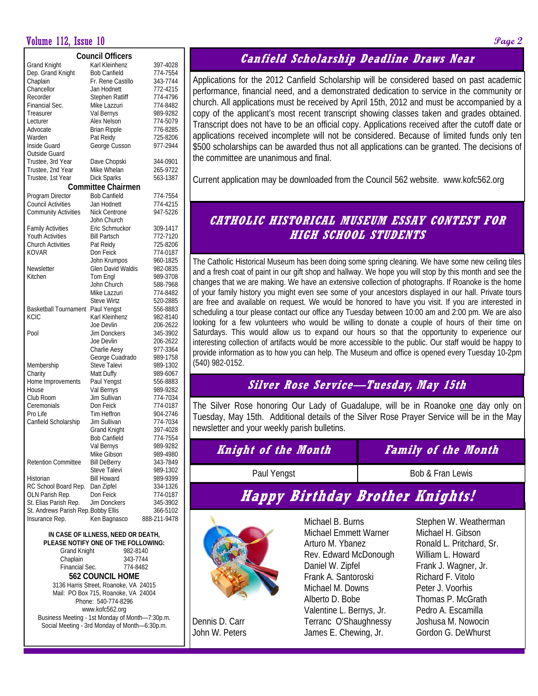## Volume 112, Issue 10 **Page 2**

| <b>Council Officers</b>             |                           |              |  |  |  |  |  |  |
|-------------------------------------|---------------------------|--------------|--|--|--|--|--|--|
| <b>Grand Knight</b>                 | Karl Kleinhenz            | 397-4028     |  |  |  |  |  |  |
| Dep. Grand Knight                   | <b>Bob Canfield</b>       | 774-7554     |  |  |  |  |  |  |
| Chaplain                            | Fr. Rene Castillo         | 343-7744     |  |  |  |  |  |  |
| Chancellor                          | Jan Hodnett               | 772-4215     |  |  |  |  |  |  |
| Recorder                            |                           | 774-4796     |  |  |  |  |  |  |
|                                     | Stephen Ratliff           |              |  |  |  |  |  |  |
| Financial Sec.                      | Mike Lazzuri              | 774-8482     |  |  |  |  |  |  |
| Treasurer                           | Val Bernys                | 989-9282     |  |  |  |  |  |  |
| Lecturer                            | Alex Nelson               | 774-5079     |  |  |  |  |  |  |
| Advocate                            | <b>Brian Ripple</b>       | 776-8285     |  |  |  |  |  |  |
| Warden                              | Pat Reidy                 | 725-8206     |  |  |  |  |  |  |
| Inside Guard                        | George Cusson             | 977-2944     |  |  |  |  |  |  |
| Outside Guard                       |                           |              |  |  |  |  |  |  |
| Trustee, 3rd Year                   | Dave Chopski              | 344-0901     |  |  |  |  |  |  |
| Trustee, 2nd Year                   | Mike Whelan               | 265-9722     |  |  |  |  |  |  |
| Trustee, 1st Year                   | Dick Sparks               | 563-1387     |  |  |  |  |  |  |
|                                     | <b>Committee Chairmen</b> |              |  |  |  |  |  |  |
| Program Director                    | <b>Bob Canfield</b>       | 774-7554     |  |  |  |  |  |  |
| <b>Council Activities</b>           | Jan Hodnett               | 774-4215     |  |  |  |  |  |  |
| <b>Community Activities</b>         | <b>Nick Centrone</b>      | 947-5226     |  |  |  |  |  |  |
|                                     | John Church               |              |  |  |  |  |  |  |
| <b>Family Activities</b>            | Eric Schmuckor            | 309-1417     |  |  |  |  |  |  |
| <b>Youth Activities</b>             | <b>Bill Partsch</b>       | 772-7120     |  |  |  |  |  |  |
| <b>Church Activities</b>            | Pat Reidy                 | 725-8206     |  |  |  |  |  |  |
| <b>KOVAR</b>                        | Don Feick                 | 774-0187     |  |  |  |  |  |  |
|                                     | John Krumpos              | 960-1825     |  |  |  |  |  |  |
| Newsletter                          | Glen David Waldis         | 982-0835     |  |  |  |  |  |  |
| Kitchen                             | Tom Engl                  | 989-3708     |  |  |  |  |  |  |
|                                     | John Church               | 588-7968     |  |  |  |  |  |  |
|                                     | Mike Lazzuri              | 774-8482     |  |  |  |  |  |  |
|                                     | <b>Steve Wirtz</b>        | 520-2885     |  |  |  |  |  |  |
| Basketball Tournament               | Paul Yengst               | 556-8883     |  |  |  |  |  |  |
| <b>KCIC</b>                         | Karl Kleinhenz            | 982-8140     |  |  |  |  |  |  |
|                                     | Joe Devlin                | 206-2622     |  |  |  |  |  |  |
| Pool                                | Jim Donckers              | 345-3902     |  |  |  |  |  |  |
|                                     | Joe Devlin                | 206-2622     |  |  |  |  |  |  |
|                                     | Charlie Aesy              | 977-3364     |  |  |  |  |  |  |
|                                     | George Cuadrado           | 989-1758     |  |  |  |  |  |  |
| Membership                          | Steve Talevi              | 989-1302     |  |  |  |  |  |  |
| Charity                             | Matt Duffy                | 989-6067     |  |  |  |  |  |  |
| Home Improvements                   | Paul Yengst               | 556-8883     |  |  |  |  |  |  |
| House                               | Val Bernys                | 989-9282     |  |  |  |  |  |  |
| Club Room                           | Jim Sullivan              | 774-7034     |  |  |  |  |  |  |
| Ceremonials                         | Don Feick                 | 774-0187     |  |  |  |  |  |  |
| Pro Life                            | Tim Heffron               | 904-2746     |  |  |  |  |  |  |
| Canfield Scholarship                | Jim Sullivan              | 774-7034     |  |  |  |  |  |  |
|                                     | <b>Grand Knight</b>       | 397-4028     |  |  |  |  |  |  |
|                                     | <b>Bob Canfield</b>       | 774-7554     |  |  |  |  |  |  |
|                                     | Val Bernys                | 989-9282     |  |  |  |  |  |  |
|                                     | Mike Gibson               | 989-4980     |  |  |  |  |  |  |
| <b>Retention Committee</b>          | <b>Bill DeBerry</b>       | 343-7849     |  |  |  |  |  |  |
|                                     | Steve Talevi              | 989-1302     |  |  |  |  |  |  |
| Historian                           | <b>Bill Howard</b>        | 989-9399     |  |  |  |  |  |  |
| RC School Board Rep.                | Dan Zipfel                | 334-1326     |  |  |  |  |  |  |
| OLN Parish Rep.                     | Don Feick                 | 774-0187     |  |  |  |  |  |  |
| St. Elias Parish Rep.               | Jim Donckers              | 345-3902     |  |  |  |  |  |  |
| St. Andrews Parish Rep. Bobby Ellis |                           | 366-5102     |  |  |  |  |  |  |
| Insurance Rep.                      | Ken Bagnasco              | 888-211-9478 |  |  |  |  |  |  |

### **IN CASE OF ILLNESS, NEED OR DEATH, PLEASE NOTIFY ONE OF THE FOLLOWING:**<br>Crand Knight (202.2140) Crand Knight

| ווטווע ומושוט                                   | $112 - 11 - 11$ |  |  |  |  |
|-------------------------------------------------|-----------------|--|--|--|--|
| Chaplain                                        | 343-7744        |  |  |  |  |
| Financial Sec.                                  | 774-8482        |  |  |  |  |
| <b>562 COUNCIL HOME</b>                         |                 |  |  |  |  |
| 3136 Harris Street, Roanoke, VA 24015           |                 |  |  |  |  |
| Mail: PO Box 715, Roanoke, VA 24004             |                 |  |  |  |  |
| Phone: 540-774-8296                             |                 |  |  |  |  |
| www.kofc562.org                                 |                 |  |  |  |  |
| Business Meeting - 1st Monday of Month-7:30p.m. |                 |  |  |  |  |
| Social Meeting - 3rd Monday of Month-6:30p.m.   |                 |  |  |  |  |

# **Canfield Scholarship Deadline Draws Near**

Applications for the 2012 Canfield Scholarship will be considered based on past academic performance, financial need, and a demonstrated dedication to service in the community or church. All applications must be received by April 15th, 2012 and must be accompanied by a copy of the applicant's most recent transcript showing classes taken and grades obtained. Transcript does not have to be an official copy. Applications received after the cutoff date or applications received incomplete will not be considered. Because of limited funds only ten \$500 scholarships can be awarded thus not all applications can be granted. The decisions of the committee are unanimous and final.

Current application may be downloaded from the Council 562 website. www.kofc562.org

# **CATHOLIC HISTORICAL MUSEUM ESSAY CONTEST FOR HIGH SCHOOL STUDENTS**

The Catholic Historical Museum has been doing some spring cleaning. We have some new ceiling tiles and a fresh coat of paint in our gift shop and hallway. We hope you will stop by this month and see the changes that we are making. We have an extensive collection of photographs. If Roanoke is the home of your family history you might even see some of your ancestors displayed in our hall. Private tours are free and available on request. We would be honored to have you visit. If you are interested in scheduling a tour please contact our office any Tuesday between 10:00 am and 2:00 pm. We are also looking for a few volunteers who would be willing to donate a couple of hours of their time on Saturdays. This would allow us to expand our hours so that the opportunity to experience our interesting collection of artifacts would be more accessible to the public. Our staff would be happy to provide information as to how you can help. The Museum and office is opened every Tuesday 10-2pm (540) 982-0152.

# **Silver Rose Service—Tuesday, May 15th**

The Silver Rose honoring Our Lady of Guadalupe, will be in Roanoke one day only on Tuesday, May 15th. Additional details of the Silver Rose Prayer Service will be in the May newsletter and your weekly parish bulletins.

| <i>Knight of the Month</i> | <b>Family of the Month</b> |  |  |  |
|----------------------------|----------------------------|--|--|--|
| Paul Yengst                | Bob & Fran Lewis           |  |  |  |
|                            |                            |  |  |  |

# **Happy Birthday Brother Knights!**



Dennis D. Carr John W. Peters

Michael B. Burns Michael Emmett Warner Arturo M. Ybanez Rev. Edward McDonough Daniel W. Zipfel Frank A. Santoroski Michael M. Downs Alberto D. Bobe Valentine L. Bernys, Jr. Terranc O'Shaughnessy James E. Chewing, Jr.

Stephen W. Weatherman Michael H. Gibson Ronald L. Pritchard, Sr. William L. Howard Frank J. Wagner, Jr. Richard F. Vitolo Peter J. Voorhis Thomas P. McGrath Pedro A. Escamilla Joshusa M. Nowocin Gordon G. DeWhurst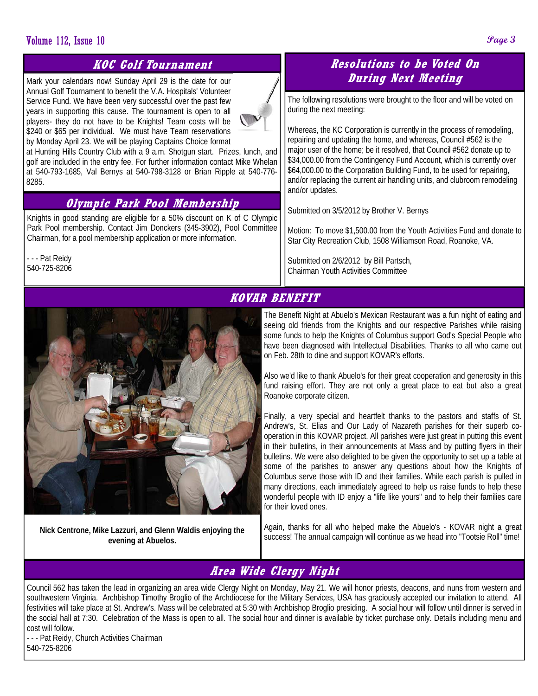# **Volume 112, Issue 10 Page 3**

# **KOC Golf Tournament**

Mark your calendars now! Sunday April 29 is the date for our Annual Golf Tournament to benefit the V.A. Hospitals' Volunteer Service Fund. We have been very successful over the past few years in supporting this cause. The tournament is open to all players- they do not have to be Knights! Team costs will be \$240 or \$65 per individual. We must have Team reservations by Monday April 23. We will be playing Captains Choice format



at Hunting Hills Country Club with a 9 a.m. Shotgun start. Prizes, lunch, and golf are included in the entry fee. For further information contact Mike Whelan at 540-793-1685, Val Bernys at 540-798-3128 or Brian Ripple at 540-776- 8285.

# **Olympic Park Pool Membership**

Knights in good standing are eligible for a 50% discount on K of C Olympic Park Pool membership. Contact Jim Donckers (345-3902), Pool Committee Chairman, for a pool membership application or more information.

- - - Pat Reidy 540-725-8206

**Nick Centrone, Mike Lazzuri, and Glenn Waldis enjoying the evening at Abuelos.** 

# **Resolutions to be Voted On During Next Meeting**

The following resolutions were brought to the floor and will be voted on during the next meeting:

Whereas, the KC Corporation is currently in the process of remodeling, repairing and updating the home, and whereas, Council #562 is the major user of the home; be it resolved, that Council #562 donate up to \$34,000.00 from the Contingency Fund Account, which is currently over \$64,000.00 to the Corporation Building Fund, to be used for repairing, and/or replacing the current air handling units, and clubroom remodeling and/or updates.

Submitted on 3/5/2012 by Brother V. Bernys

Motion: To move \$1,500.00 from the Youth Activities Fund and donate to Star City Recreation Club, 1508 Williamson Road, Roanoke, VA.

Submitted on 2/6/2012 by Bill Partsch, Chairman Youth Activities Committee

# **KOVAR BENEFIT**

The Benefit Night at Abuelo's Mexican Restaurant was a fun night of eating and seeing old friends from the Knights and our respective Parishes while raising some funds to help the Knights of Columbus support God's Special People who have been diagnosed with Intellectual Disabilities. Thanks to all who came out on Feb. 28th to dine and support KOVAR's efforts.

Also we'd like to thank Abuelo's for their great cooperation and generosity in this fund raising effort. They are not only a great place to eat but also a great Roanoke corporate citizen.

Finally, a very special and heartfelt thanks to the pastors and staffs of St. Andrew's, St. Elias and Our Lady of Nazareth parishes for their superb cooperation in this KOVAR project. All parishes were just great in putting this event in their bulletins, in their announcements at Mass and by putting flyers in their bulletins. We were also delighted to be given the opportunity to set up a table at some of the parishes to answer any questions about how the Knights of Columbus serve those with ID and their families. While each parish is pulled in many directions, each immediately agreed to help us raise funds to help these wonderful people with ID enjoy a "life like yours" and to help their families care for their loved ones.

Again, thanks for all who helped make the Abuelo's - KOVAR night a great success! The annual campaign will continue as we head into "Tootsie Roll" time!

# **Area Wide Clergy Night**

Council 562 has taken the lead in organizing an area wide Clergy Night on Monday, May 21. We will honor priests, deacons, and nuns from western and southwestern Virginia. Archbishop Timothy Broglio of the Archdiocese for the Military Services, USA has graciously accepted our invitation to attend. All festivities will take place at St. Andrew's. Mass will be celebrated at 5:30 with Archbishop Broglio presiding. A social hour will follow until dinner is served in the social hall at 7:30. Celebration of the Mass is open to all. The social hour and dinner is available by ticket purchase only. Details including menu and cost will follow.

- - - Pat Reidy, Church Activities Chairman 540-725-8206